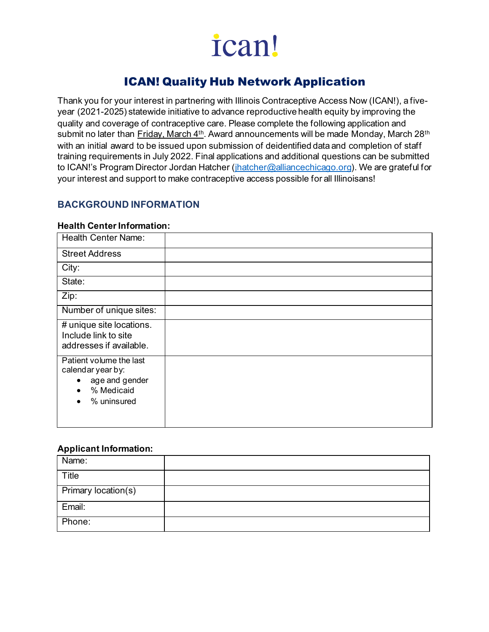# ICAN! Quality Hub Network Application

Thank you for your interest in partnering with Illinois Contraceptive Access Now (ICAN!), a fiveyear (2021-2025) statewide initiative to advance reproductive health equity by improving the quality and coverage of contraceptive care. Please complete the following application and submit no later than Friday, March 4<sup>th</sup>. Award announcements will be made Monday, March 28<sup>th</sup> with an initial award to be issued upon submission of deidentified data and completion of staff training requirements in July 2022. Final applications and additional questions can be submitted to ICAN!'s Program Director Jordan Hatcher [\(jhatcher@alliancechicago.org](mailto:jhatcher@alliancechicago.org)). We are grateful for your interest and support to make contraceptive access possible for all Illinoisans!

### **BACKGROUND INFORMATION**

#### **Health Center Information:**

| <b>Health Center Name:</b>                                                                               |  |
|----------------------------------------------------------------------------------------------------------|--|
| <b>Street Address</b>                                                                                    |  |
| City:                                                                                                    |  |
| State:                                                                                                   |  |
| Zip:                                                                                                     |  |
| Number of unique sites:                                                                                  |  |
| # unique site locations.<br>Include link to site<br>addresses if available.                              |  |
| Patient volume the last<br>calendar year by:<br>age and gender<br>$\bullet$<br>% Medicaid<br>% uninsured |  |

#### **Applicant Information:**

| Name:               |  |
|---------------------|--|
| Title               |  |
| Primary location(s) |  |
| Email:              |  |
| Phone:              |  |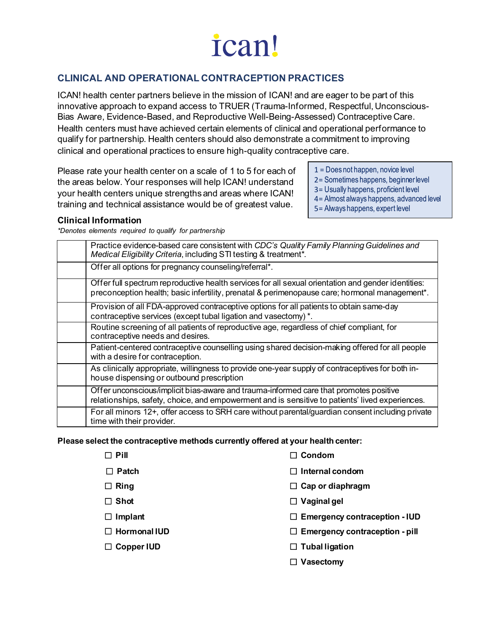# **CLINICAL AND OPERATIONAL CONTRACEPTION PRACTICES**

ICAN! health center partners believe in the mission of ICAN! and are eager to be part of this innovative approach to expand access to TRUER (Trauma-Informed, Respectful, Unconscious-Bias Aware, Evidence-Based, and Reproductive Well-Being-Assessed) Contraceptive Care. Health centers must have achieved certain elements of clinical and operational performance to qualify for partnership. Health centers should also demonstrate a commitment to improving clinical and operational practices to ensure high-quality contraceptive care.

Please rate your health center on a scale of 1 to 5 for each of the areas below. Your responses will help ICAN! understand your health centers unique strengths and areas where ICAN! training and technical assistance would be of greatest value.

1 = Does not happen, novice level

- 2= Sometimes happens, beginner level
- 3= Usually happens, proficient level
- 4= Almost always happens, advanced level
- 5= Always happens, expert level

#### **Clinical Information**

*\*Denotes elements required to qualify for partnership*

| Practice evidence-based care consistent with CDC's Quality Family Planning Guidelines and<br>Medical Eligibility Criteria, including STI testing & treatment*.                                      |
|-----------------------------------------------------------------------------------------------------------------------------------------------------------------------------------------------------|
| Offer all options for pregnancy counseling/referral*.                                                                                                                                               |
| Offer full spectrum reproductive health services for all sexual orientation and gender identities:<br>preconception health; basic infertility, prenatal & perimenopause care; hormonal management*. |
| Provision of all FDA-approved contraceptive options for all patients to obtain same-day<br>contraceptive services (except tubal ligation and vasectomy) *.                                          |
| Routine screening of all patients of reproductive age, regardless of chief compliant, for<br>contraceptive needs and desires.                                                                       |
| Patient-centered contraceptive counselling using shared decision-making offered for all people<br>with a desire for contraception.                                                                  |
| As clinically appropriate, willingness to provide one-year supply of contraceptives for both in-<br>house dispensing or outbound prescription                                                       |
| Offer unconscious/implicit bias-aware and trauma-informed care that promotes positive<br>relationships, safety, choice, and empowerment and is sensitive to patients' lived experiences.            |
| For all minors 12+, offer access to SRH care without parental/guardian consent including private<br>time with their provider.                                                                       |

#### **Please select the contraceptive methods currently offered at your health center:**

| $\Box$ Pill         | Condom                                |
|---------------------|---------------------------------------|
| <b>Patch</b><br>LΙ  | Internal condom<br>$\mathsf{L}$       |
| $\Box$ Ring         | $\Box$ Cap or diaphragm               |
| $\Box$ Shot         | $\Box$ Vaginal gel                    |
| $\Box$ Implant      | $\Box$ Emergency contraception - IUD  |
| $\Box$ Hormonal IUD | $\Box$ Emergency contraception - pill |
| Copper IUD          | $\Box$ Tubal ligation                 |
|                     | Vasectomy<br>ப                        |
|                     |                                       |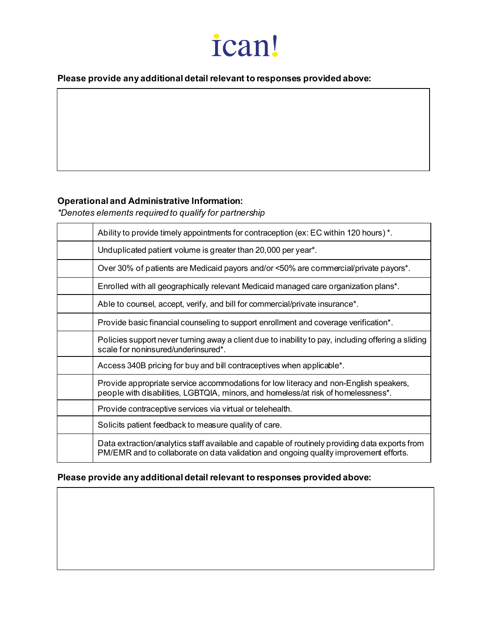**Please provide any additional detail relevant to responses provided above:** 

### **Operational and Administrative Information:**

*\*Denotes elements required to qualify for partnership*

| Ability to provide timely appointments for contraception (ex: EC within 120 hours) *.                                                                                                   |  |  |
|-----------------------------------------------------------------------------------------------------------------------------------------------------------------------------------------|--|--|
| Unduplicated patient volume is greater than 20,000 per year*.                                                                                                                           |  |  |
| Over 30% of patients are Medicaid payors and/or <50% are commercial/private payors*.                                                                                                    |  |  |
| Enrolled with all geographically relevant Medicaid managed care organization plans*.                                                                                                    |  |  |
| Able to counsel, accept, verify, and bill for commercial/private insurance*.                                                                                                            |  |  |
| Provide basic financial counseling to support enrollment and coverage verification*.                                                                                                    |  |  |
| Policies support never turning away a client due to inability to pay, including offering a sliding<br>scale for noninsured/underinsured*.                                               |  |  |
| Access 340B pricing for buy and bill contraceptives when applicable*.                                                                                                                   |  |  |
| Provide appropriate service accommodations for low literacy and non-English speakers,<br>people with disabilities, LGBTQIA, minors, and homeless/at risk of homelessness*.              |  |  |
| Provide contraceptive services via virtual or telehealth.                                                                                                                               |  |  |
| Solicits patient feedback to measure quality of care.                                                                                                                                   |  |  |
| Data extraction/analytics staff available and capable of routinely providing data exports from<br>PM/EMR and to collaborate on data validation and ongoing quality improvement efforts. |  |  |

## **Please provide any additional detail relevant to responses provided above:**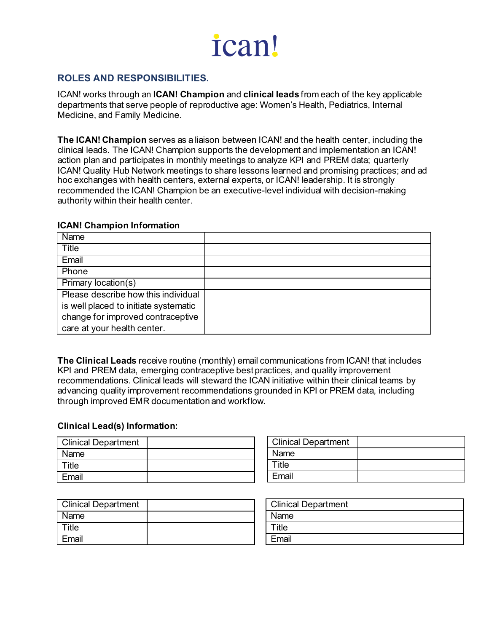### **ROLES AND RESPONSIBILITIES.**

ICAN! works through an **ICAN! Champion** and **clinical leads** from each of the key applicable departments that serve people of reproductive age: Women's Health, Pediatrics, Internal Medicine, and Family Medicine.

**The ICAN! Champion** serves as a liaison between ICAN! and the health center, including the clinical leads. The ICAN! Champion supports the development and implementation an ICAN! action plan and participates in monthly meetings to analyze KPI and PREM data; quarterly ICAN! Quality Hub Network meetings to share lessons learned and promising practices; and ad hoc exchanges with health centers, external experts, or ICAN! leadership. It is strongly recommended the ICAN! Champion be an executive-level individual with decision-making authority within their health center.

#### **ICAN! Champion Information**

| Name                                  |  |
|---------------------------------------|--|
| Title                                 |  |
| Email                                 |  |
| Phone                                 |  |
| Primary location(s)                   |  |
| Please describe how this individual   |  |
| is well placed to initiate systematic |  |
| change for improved contraceptive     |  |
| care at your health center.           |  |

**The Clinical Leads** receive routine (monthly) email communications from ICAN! that includes KPI and PREM data, emerging contraceptive best practices, and quality improvement recommendations. Clinical leads will steward the ICAN initiative within their clinical teams by advancing quality improvement recommendations grounded in KPI or PREM data, including through improved EMR documentation and workflow.

#### **Clinical Lead(s) Information:**

| <b>Clinical Department</b> |  |
|----------------------------|--|
| Name                       |  |
| $\mathsf{raise}$           |  |
| Email                      |  |

| <b>Clinical Department</b> |  |
|----------------------------|--|
| Name                       |  |
| Title                      |  |
| Email                      |  |

| <b>Clinical Department</b> |  |
|----------------------------|--|
| Name                       |  |
| Title                      |  |
| Email                      |  |

| <b>Clinical Department</b> |  |
|----------------------------|--|
| <b>Name</b>                |  |
| Title                      |  |
| Fmail                      |  |